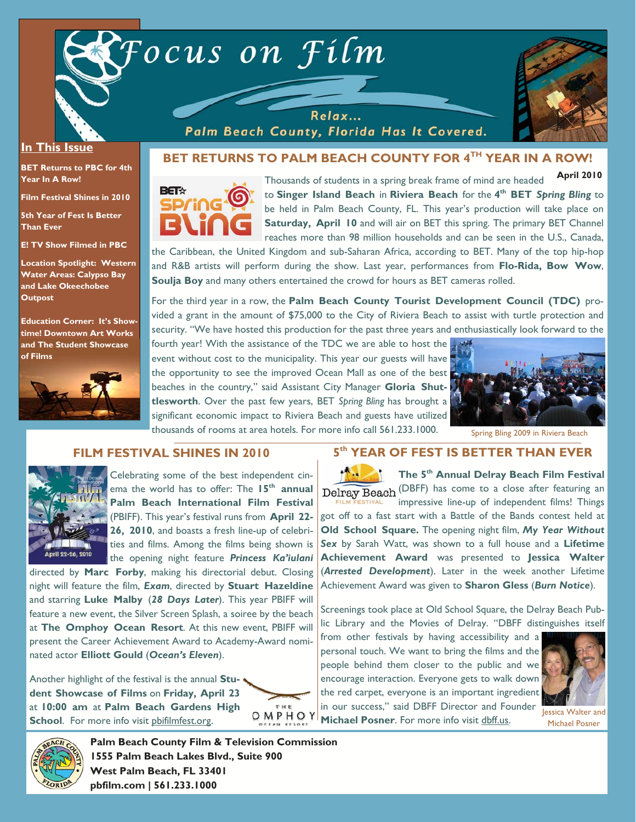



### **In This Issue**

**BET Returns to PBC for 4th Year In A Row!** 

**Film Festival Shines in 2010** 

**5th Year of Fest Is Better Than Ever** 

**E! TV Show Filmed in PBC** 

**Location Spotlight: Western Water Areas: Calypso Bay and Lake Okeechobee Outpost** 

**Education Corner: It's Showtime! Downtown Art Works and The Student Showcase of Films**



Relax... Palm Beach County, Florida Has It Covered.

# **BET RETURNS TO PALM BEACH COUNTY FOR 4TH YEAR IN A ROW!**



Thousands of students in a spring break frame of mind are headed to **Singer Island Beach** in **Riviera Beach** for the **4th BET** *Spring Bling* to be held in Palm Beach County, FL. This year's production will take place on **Saturday, April 10** and will air on BET this spring. The primary BET Channel reaches more than 98 million households and can be seen in the U.S., Canada, **April 2010** 

the Caribbean, the United Kingdom and sub-Saharan Africa, according to BET. Many of the top hip-hop and R&B artists will perform during the show. Last year, performances from **Flo-Rida, Bow Wow**, **Soulja Boy** and many others entertained the crowd for hours as BET cameras rolled.

For the third year in a row, the **Palm Beach County Tourist Development Council (TDC)** provided a grant in the amount of \$75,000 to the City of Riviera Beach to assist with turtle protection and security. "We have hosted this production for the past three years and enthusiastically look forward to the

fourth year! With the assistance of the TDC we are able to host the event without cost to the municipality. This year our guests will have the opportunity to see the improved Ocean Mall as one of the best beaches in the country," said Assistant City Manager **Gloria Shuttlesworth**. Over the past few years, BET *Spring Bling* has brought a significant economic impact to Riviera Beach and guests have utilized thousands of rooms at area hotels. For more info call 561.233.1000.



Spring Bling 2009 in Riviera Beach

## **FILM FESTIVAL SHINES IN 2010**



Celebrating some of the best independent cinema the world has to offer: The 15<sup>th</sup> annual **Palm Beach International Film Festival**  (PBIFF). This year's festival runs from **April 22- 26, 2010**, and boasts a fresh line-up of celebrities and films. Among the films being shown is the opening night feature *Princess Ka'iulani*

directed by **Marc Forby**, making his directorial debut. Closing night will feature the film, *Exam*, directed by **Stuart Hazeldine**  and starring **Luke Malby** (*28 Days Later*). This year PBIFF will feature a new event, the Silver Screen Splash, a soiree by the beach at **The Omphoy Ocean Resort**. At this new event, PBIFF will present the Career Achievement Award to Academy-Award nominated actor **Elliott Gould** (*Ocean's Eleven*).

Another highlight of the festival is the annual **Student Showcase of Films** on **Friday, April 23**  at **10:00 am** at **Palm Beach Gardens High School**. For more info visit pbifilmfest.org.



# **5th YEAR OF FEST IS BETTER THAN EVER**

**The 5th Annual Delray Beach Film Festival**  Delray Beach (DBFF) has come to a close after featuring an impressive line-up of independent films! Things got off to a fast start with a Battle of the Bands contest held at **Old School Square.** The opening night film, *My Year Without Sex* by Sarah Watt, was shown to a full house and a **Lifetime Achievement Award** was presented to **Jessica Walter** (*Arrested Development*). Later in the week another Lifetime Achievement Award was given to **Sharon Gless** (*Burn Notice*).

Screenings took place at Old School Square, the Delray Beach Public Library and the Movies of Delray. "DBFF distinguishes itself

from other festivals by having accessibility and a personal touch. We want to bring the films and the people behind them closer to the public and we encourage interaction. Everyone gets to walk down the red carpet, everyone is an important ingredient in our success," said DBFF Director and Founder In our success, said *D* DFF Director and induced Jessica Walter and **Michael Posner**. For more info visit dbff.us.



Michael Posner



**Palm Beach County Film & Television Commission 1555 Palm Beach Lakes Blvd., Suite 900 West Palm Beach, FL 33401 pbfilm.com | 561.233.1000**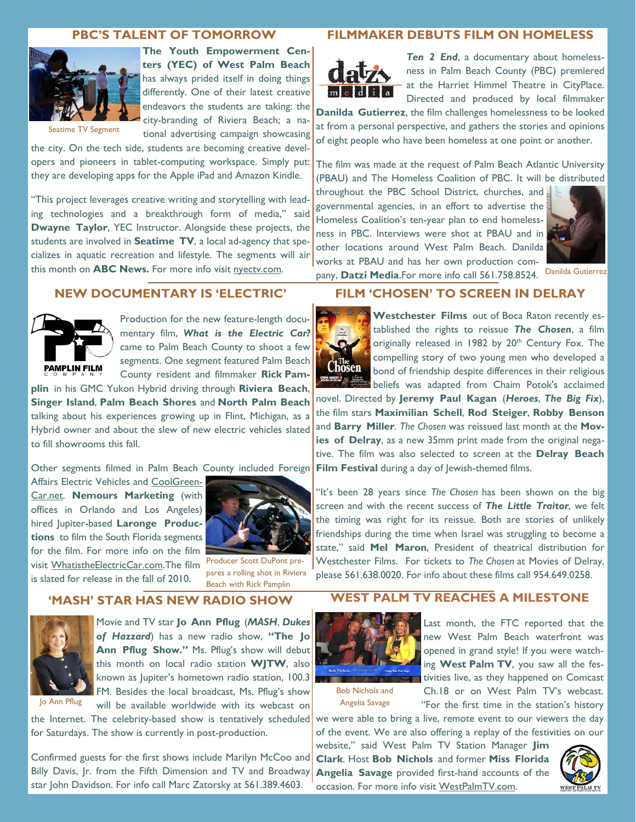#### **PBC'S TALENT OF TOMORROW**



**The Youth Empowerment Centers (YEC) of West Palm Beach**  has always prided itself in doing things differently. One of their latest creative endeavors the students are taking: the city-branding of Riviera Beach; a national advertising campaign showcasing

the city. On the tech side, students are becoming creative developers and pioneers in tablet-computing workspace. Simply put: they are developing apps for the Apple iPad and Amazon Kindle.

"This project leverages creative writing and storytelling with leading technologies and a breakthrough form of media," said **Dwayne Taylor**, YEC Instructor. Alongside these projects, the students are involved in **Seatime TV**, a local ad-agency that specializes in aquatic recreation and lifestyle. The segments will air this month on **ABC News.** For more info visit nyectv.com.

### **FILMMAKER DEBUTS FILM ON HOMELESS**



*Ten 2 End*, a documentary about homelessness in Palm Beach County (PBC) premiered at the Harriet Himmel Theatre in CityPlace. Directed and produced by local filmmaker

**Danilda Gutierrez**, the film challenges homelessness to be looked at from a personal perspective, and gathers the stories and opinions of eight people who have been homeless at one point or another.

The film was made at the request of Palm Beach Atlantic University (PBAU) and The Homeless Coalition of PBC. It will be distributed

throughout the PBC School District, churches, and governmental agencies, in an effort to advertise the Homeless Coalition's ten-year plan to end homelessness in PBC. Interviews were shot at PBAU and in other locations around West Palm Beach. Danilda works at PBAU and has her own production com-



pany, **Datzi Media**.For more info call 561.758.8524. Danilda Gutierrez

### **NEW DOCUMENTARY IS 'ELECTRIC'**



Production for the new feature-length documentary film, *What is the Electric Car?*  came to Palm Beach County to shoot a few segments. One segment featured Palm Beach County resident and filmmaker **Rick Pam-**

**plin** in his GMC Yukon Hybrid driving through **Riviera Beach**, **Singer Island**, **Palm Beach Shores** and **North Palm Beach** talking about his experiences growing up in Flint, Michigan, as a Hybrid owner and about the slew of new electric vehicles slated to fill showrooms this fall.

Other segments filmed in Palm Beach County included Foreign

Affairs Electric Vehicles and CoolGreen-Car.net. **Nemours Marketing** (with offices in Orlando and Los Angeles) hired Jupiter-based **Laronge Productions** to film the South Florida segments for the film. For more info on the film visit WhatistheElectricCar.com.The film is slated for release in the fall of 2010.



Producer Scott DuPont prepares a rolling shot in Riviera Beach with Rick Pamplin

# **FILM 'CHOSEN' TO SCREEN IN DELRAY**



**Westchester Films** out of Boca Raton recently established the rights to reissue *The Chosen*, a film originally released in 1982 by 20<sup>th</sup> Century Fox. The compelling story of two young men who developed a bond of friendship despite differences in their religious beliefs was adapted from Chaim Potok's acclaimed

novel. Directed by **Jeremy Paul Kagan** (*Heroes*, *The Big Fix*), the film stars **Maximilian Schell**, **Rod Steiger**, **Robby Benson**  and **Barry Miller**. *The Chosen* was reissued last month at the **Movies of Delray**, as a new 35mm print made from the original negative. The film was also selected to screen at the **Delray Beach Film Festival** during a day of Jewish-themed films.

"It's been 28 years since *The Chosen* has been shown on the big screen and with the recent success of *The Little Traitor*, we felt the timing was right for its reissue. Both are stories of unlikely friendships during the time when Israel was struggling to become a state," said **Mel Maron**, President of theatrical distribution for Westchester Films. For tickets to *The Chosen* at Movies of Delray, please 561.638.0020. For info about these films call 954.649.0258.

#### **'MASH' STAR HAS NEW RADIO SHOW**



Movie and TV star **Jo Ann Pflug** (*MASH*, *Dukes of Hazzard*) has a new radio show, **"The Jo**  Ann Pflug Show." Ms. Pflug's show will debut this month on local radio station **WJTW**, also known as Jupiter's hometown radio station, 100.3 FM. Besides the local broadcast, Ms. Pflug's show will be available worldwide with its webcast on

the Internet. The celebrity-based show is tentatively scheduled for Saturdays. The show is currently in post-production.

Confirmed guests for the first shows include Marilyn McCoo and Billy Davis, Jr. from the Fifth Dimension and TV and Broadway star John Davidson. For info call Marc Zatorsky at 561.389.4603.

## **WEST PALM TV REACHES A MILESTONE**



Last month, the FTC reported that the new West Palm Beach waterfront was opened in grand style! If you were watching **West Palm TV**, you saw all the festivities live, as they happened on Comcast

Bob Nichols and Angelia Savage

Ch.18 or on West Palm TV's webcast. "For the first time in the station's history

we were able to bring a live, remote event to our viewers the day of the event. We are also offering a replay of the festivities on our

website," said West Palm TV Station Manager **Jim Clark**. Host **Bob Nichols** and former **Miss Florida Angelia Savage** provided first-hand accounts of the occasion. For more info visit WestPalmTV.com.

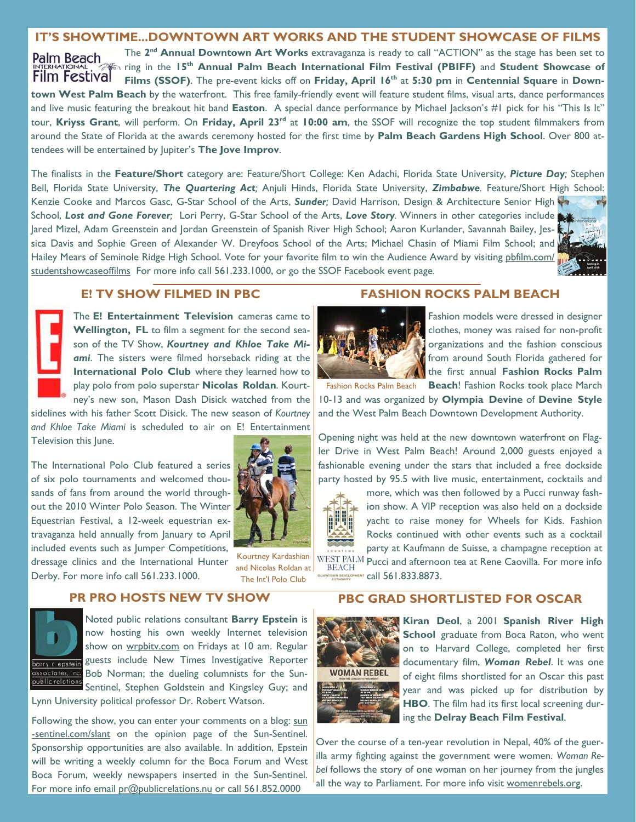### **IT'S SHOWTIME...DOWNTOWN ART WORKS AND THE STUDENT SHOWCASE OF FILMS**

The **2nd Annual Downtown Art Works** extravaganza is ready to call "ACTION" as the stage has been set to Palm Beach ring in the **15th Annual Palm Beach International Film Festival (PBIFF)** and **Student Showcase of**  Film Festival Films (SSOF). The pre-event kicks off on Friday, April 16<sup>th</sup> at 5:30 pm in Centennial Square in Down**town West Palm Beach** by the waterfront. This free family-friendly event will feature student films, visual arts, dance performances and live music featuring the breakout hit band **Easton**. A special dance performance by Michael Jackson's #1 pick for his "This Is It" tour, **Kriyss Grant**, will perform. On **Friday, April 23rd** at **10:00 am**, the SSOF will recognize the top student filmmakers from around the State of Florida at the awards ceremony hosted for the first time by **Palm Beach Gardens High School**. Over 800 attendees will be entertained by Jupiter's **The Jove Improv**.

The finalists in the **Feature/Short** category are: Feature/Short College: Ken Adachi, Florida State University, *Picture Day;* Stephen Bell, Florida State University, *The Quartering Act;* Anjuli Hinds, Florida State University, *Zimbabwe.* Feature/Short High School: Kenzie Cooke and Marcos Gasc, G-Star School of the Arts, *Sunder;* David Harrison, Design & Architecture Senior High School, *Lost and Gone Forever;* Lori Perry, G-Star School of the Arts, *Love Story.* Winners in other categories include Jared Mizel, Adam Greenstein and Jordan Greenstein of Spanish River High School; Aaron Kurlander, Savannah Bailey, Jessica Davis and Sophie Green of Alexander W. Dreyfoos School of the Arts; Michael Chasin of Miami Film School; and Hailey Mears of Seminole Ridge High School. Vote for your favorite film to win the Audience Award by visiting pbfilm.com/ studentshowcaseoffilms For more info call 561.233.1000, or go the SSOF Facebook event page.



#### **E! TV SHOW FILMED IN PBC**

The **E! Entertainment Television** cameras came to **Wellington, FL** to film a segment for the second season of the TV Show, *Kourtney and Khloe Take Miami*. The sisters were filmed horseback riding at the **International Polo Club** where they learned how to play polo from polo superstar **Nicolas Roldan**. Kourtney's new son, Mason Dash Disick watched from the

sidelines with his father Scott Disick. The new season of *Kourtney and Khloe Take Miami* is scheduled to air on E! Entertainment Television this June.

The International Polo Club featured a series of six polo tournaments and welcomed thousands of fans from around the world throughout the 2010 Winter Polo Season. The Winter Equestrian Festival, a 12-week equestrian extravaganza held annually from January to April included events such as Jumper Competitions, dressage clinics and the International Hunter Derby. For more info call 561.233.1000.



Kourtney Kardashian and Nicolas Roldan at The Int'l Polo Club

## **PR PRO HOSTS NEW TV SHOW**



Noted public relations consultant **Barry Epstein** is now hosting his own weekly Internet television show on wrpbity.com on Fridays at 10 am. Regular guests include New Times Investigative Reporter Bob Norman; the dueling columnists for the Sun-Sentinel, Stephen Goldstein and Kingsley Guy; and

Lynn University political professor Dr. Robert Watson.

Following the show, you can enter your comments on a blog: sun -sentinel.com/slant on the opinion page of the Sun-Sentinel. Sponsorship opportunities are also available. In addition, Epstein will be writing a weekly column for the Boca Forum and West Boca Forum, weekly newspapers inserted in the Sun-Sentinel. For more info email pr@publicrelations.nu or call 561.852.0000

### **FASHION ROCKS PALM BEACH**



Fashion models were dressed in designer clothes, money was raised for non-profit organizations and the fashion conscious from around South Florida gathered for the first annual **Fashion Rocks Palm** 

Fashion Rocks Palm Beach Beach! Fashion Rocks took place March

10-13 and was organized by **Olympia Devine** of **Devine Style**  and the West Palm Beach Downtown Development Authority.

Opening night was held at the new downtown waterfront on Flagler Drive in West Palm Beach! Around 2,000 guests enjoyed a fashionable evening under the stars that included a free dockside party hosted by 95.5 with live music, entertainment, cocktails and



**BEACH** 

more, which was then followed by a Pucci runway fashion show. A VIP reception was also held on a dockside yacht to raise money for Wheels for Kids. Fashion Rocks continued with other events such as a cocktail party at Kaufmann de Suisse, a champagne reception at WEST PALM Pucci and afternoon tea at Rene Caovilla. For more info

call 561.833.8873.

# **PBC GRAD SHORTLISTED FOR OSCAR**



**Kiran Deol**, a 2001 **Spanish River High School** graduate from Boca Raton, who went on to Harvard College, completed her first documentary film, *Woman Rebel*. It was one of eight films shortlisted for an Oscar this past year and was picked up for distribution by **HBO**. The film had its first local screening during the **Delray Beach Film Festival**.

Over the course of a ten-year revolution in Nepal, 40% of the guerilla army fighting against the government were women. *Woman Rebel* follows the story of one woman on her journey from the jungles all the way to Parliament. For more info visit womenrebels.org.